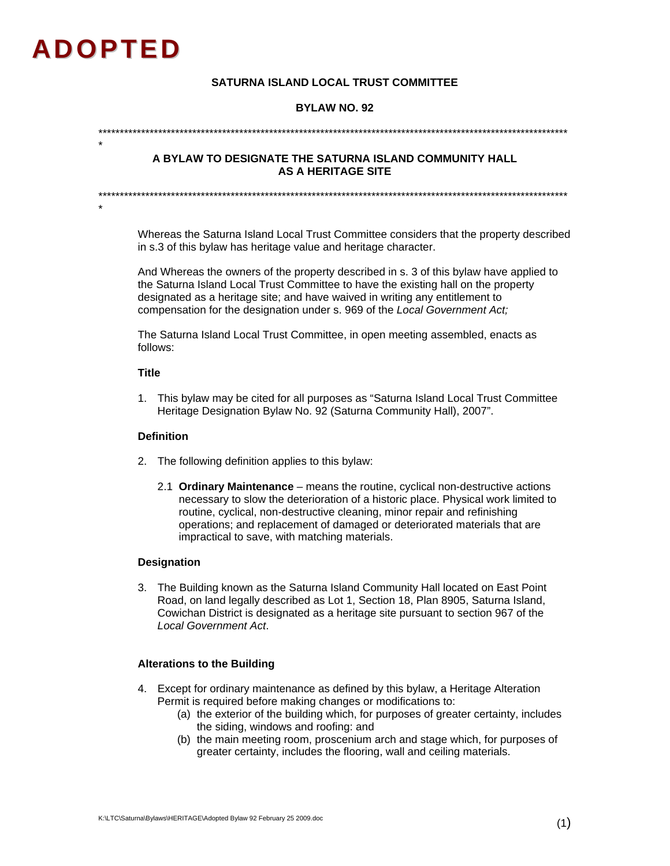# **ADOPTED**

 $\star$ 

÷

# SATURNA ISLAND LOCAL TRUST COMMITTEE

# BYLAW NO. 92

#### 

# A BYLAW TO DESIGNATE THE SATURNA ISLAND COMMUNITY HALL **AS A HERITAGE SITE**

Whereas the Saturna Island Local Trust Committee considers that the property described in s.3 of this bylaw has heritage value and heritage character.

And Whereas the owners of the property described in s. 3 of this bylaw have applied to the Saturna Island Local Trust Committee to have the existing hall on the property designated as a heritage site: and have waived in writing any entitlement to compensation for the designation under s. 969 of the Local Government Act:

The Saturna Island Local Trust Committee, in open meeting assembled, enacts as follows:

### **Title**

1. This bylaw may be cited for all purposes as "Saturna Island Local Trust Committee Heritage Designation Bylaw No. 92 (Saturna Community Hall), 2007".

#### **Definition**

- 2. The following definition applies to this bylaw:
	- 2.1 Ordinary Maintenance means the routine, cyclical non-destructive actions necessary to slow the deterioration of a historic place. Physical work limited to routine, cyclical, non-destructive cleaning, minor repair and refinishing operations; and replacement of damaged or deteriorated materials that are impractical to save, with matching materials.

#### **Designation**

3. The Building known as the Saturna Island Community Hall located on East Point Road, on land legally described as Lot 1, Section 18, Plan 8905, Saturna Island, Cowichan District is designated as a heritage site pursuant to section 967 of the **Local Government Act.** 

#### **Alterations to the Building**

- 4. Except for ordinary maintenance as defined by this bylaw, a Heritage Alteration Permit is required before making changes or modifications to:
	- (a) the exterior of the building which, for purposes of greater certainty, includes the siding, windows and roofing: and
	- (b) the main meeting room, proscenium arch and stage which, for purposes of greater certainty, includes the flooring, wall and ceiling materials.